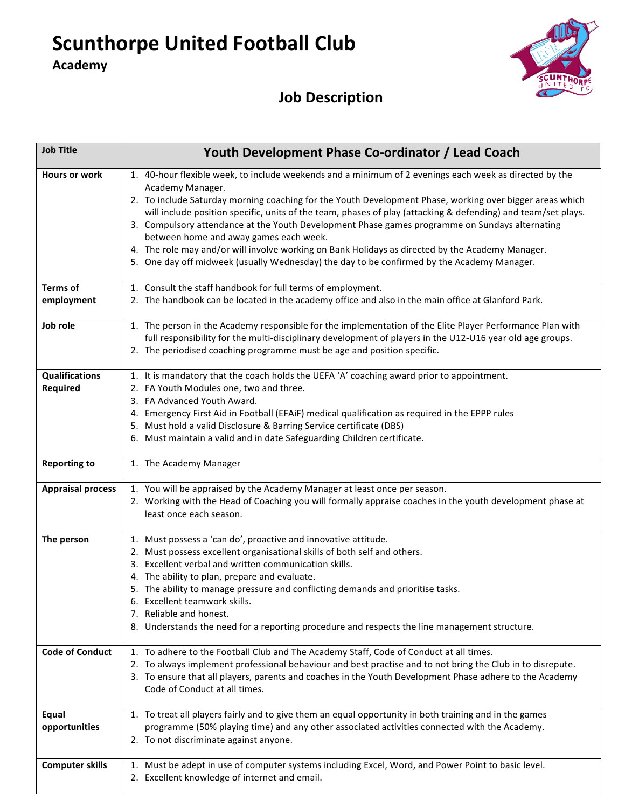**Scunthorpe United Football Club** 

**Academy**



## **Job Description**

| <b>Job Title</b>                         | Youth Development Phase Co-ordinator / Lead Coach                                                                                                                                                                                                                                                                                                                                                                                                                                                                                                                                                                                                                                                     |  |  |  |  |
|------------------------------------------|-------------------------------------------------------------------------------------------------------------------------------------------------------------------------------------------------------------------------------------------------------------------------------------------------------------------------------------------------------------------------------------------------------------------------------------------------------------------------------------------------------------------------------------------------------------------------------------------------------------------------------------------------------------------------------------------------------|--|--|--|--|
| <b>Hours or work</b>                     | 1. 40-hour flexible week, to include weekends and a minimum of 2 evenings each week as directed by the<br>Academy Manager.<br>2. To include Saturday morning coaching for the Youth Development Phase, working over bigger areas which<br>will include position specific, units of the team, phases of play (attacking & defending) and team/set plays.<br>3. Compulsory attendance at the Youth Development Phase games programme on Sundays alternating<br>between home and away games each week.<br>4. The role may and/or will involve working on Bank Holidays as directed by the Academy Manager.<br>5. One day off midweek (usually Wednesday) the day to be confirmed by the Academy Manager. |  |  |  |  |
| <b>Terms of</b>                          | 1. Consult the staff handbook for full terms of employment.                                                                                                                                                                                                                                                                                                                                                                                                                                                                                                                                                                                                                                           |  |  |  |  |
| employment                               | 2. The handbook can be located in the academy office and also in the main office at Glanford Park.                                                                                                                                                                                                                                                                                                                                                                                                                                                                                                                                                                                                    |  |  |  |  |
| Job role                                 | 1. The person in the Academy responsible for the implementation of the Elite Player Performance Plan with<br>full responsibility for the multi-disciplinary development of players in the U12-U16 year old age groups.<br>2. The periodised coaching programme must be age and position specific.                                                                                                                                                                                                                                                                                                                                                                                                     |  |  |  |  |
| <b>Qualifications</b><br><b>Required</b> | 1. It is mandatory that the coach holds the UEFA 'A' coaching award prior to appointment.<br>2. FA Youth Modules one, two and three.<br>3. FA Advanced Youth Award.<br>4. Emergency First Aid in Football (EFAiF) medical qualification as required in the EPPP rules<br>5. Must hold a valid Disclosure & Barring Service certificate (DBS)<br>6. Must maintain a valid and in date Safeguarding Children certificate.                                                                                                                                                                                                                                                                               |  |  |  |  |
| <b>Reporting to</b>                      | 1. The Academy Manager                                                                                                                                                                                                                                                                                                                                                                                                                                                                                                                                                                                                                                                                                |  |  |  |  |
| <b>Appraisal process</b>                 | 1. You will be appraised by the Academy Manager at least once per season.<br>2. Working with the Head of Coaching you will formally appraise coaches in the youth development phase at<br>least once each season.                                                                                                                                                                                                                                                                                                                                                                                                                                                                                     |  |  |  |  |
| The person                               | 1. Must possess a 'can do', proactive and innovative attitude.<br>2. Must possess excellent organisational skills of both self and others.<br>3. Excellent verbal and written communication skills.<br>4. The ability to plan, prepare and evaluate.<br>5. The ability to manage pressure and conflicting demands and prioritise tasks.<br>6. Excellent teamwork skills.<br>7. Reliable and honest.<br>8. Understands the need for a reporting procedure and respects the line management structure.                                                                                                                                                                                                  |  |  |  |  |
| <b>Code of Conduct</b>                   | 1. To adhere to the Football Club and The Academy Staff, Code of Conduct at all times.<br>2. To always implement professional behaviour and best practise and to not bring the Club in to disrepute.<br>3. To ensure that all players, parents and coaches in the Youth Development Phase adhere to the Academy<br>Code of Conduct at all times.                                                                                                                                                                                                                                                                                                                                                      |  |  |  |  |
| Equal<br>opportunities                   | 1. To treat all players fairly and to give them an equal opportunity in both training and in the games<br>programme (50% playing time) and any other associated activities connected with the Academy.<br>2. To not discriminate against anyone.                                                                                                                                                                                                                                                                                                                                                                                                                                                      |  |  |  |  |
| <b>Computer skills</b>                   | 1. Must be adept in use of computer systems including Excel, Word, and Power Point to basic level.<br>2. Excellent knowledge of internet and email.                                                                                                                                                                                                                                                                                                                                                                                                                                                                                                                                                   |  |  |  |  |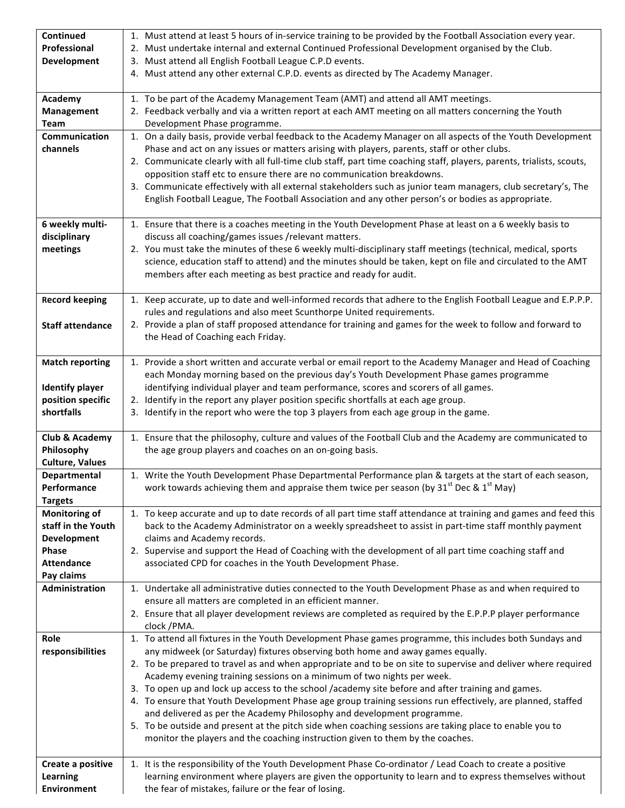| Continued                              | 1. Must attend at least 5 hours of in-service training to be provided by the Football Association every year.                                                                                                               |  |  |  |  |  |
|----------------------------------------|-----------------------------------------------------------------------------------------------------------------------------------------------------------------------------------------------------------------------------|--|--|--|--|--|
| Professional<br><b>Development</b>     | 2. Must undertake internal and external Continued Professional Development organised by the Club.<br>3. Must attend all English Football League C.P.D events.                                                               |  |  |  |  |  |
|                                        | 4. Must attend any other external C.P.D. events as directed by The Academy Manager.                                                                                                                                         |  |  |  |  |  |
|                                        |                                                                                                                                                                                                                             |  |  |  |  |  |
| Academy                                | 1. To be part of the Academy Management Team (AMT) and attend all AMT meetings.                                                                                                                                             |  |  |  |  |  |
| Management<br>Team                     | 2. Feedback verbally and via a written report at each AMT meeting on all matters concerning the Youth<br>Development Phase programme.                                                                                       |  |  |  |  |  |
| <b>Communication</b>                   | 1. On a daily basis, provide verbal feedback to the Academy Manager on all aspects of the Youth Development                                                                                                                 |  |  |  |  |  |
| channels                               | Phase and act on any issues or matters arising with players, parents, staff or other clubs.                                                                                                                                 |  |  |  |  |  |
|                                        | 2. Communicate clearly with all full-time club staff, part time coaching staff, players, parents, trialists, scouts,                                                                                                        |  |  |  |  |  |
|                                        | opposition staff etc to ensure there are no communication breakdowns.                                                                                                                                                       |  |  |  |  |  |
|                                        | 3. Communicate effectively with all external stakeholders such as junior team managers, club secretary's, The<br>English Football League, The Football Association and any other person's or bodies as appropriate.         |  |  |  |  |  |
|                                        |                                                                                                                                                                                                                             |  |  |  |  |  |
| 6 weekly multi-                        | 1. Ensure that there is a coaches meeting in the Youth Development Phase at least on a 6 weekly basis to                                                                                                                    |  |  |  |  |  |
| disciplinary                           | discuss all coaching/games issues /relevant matters.                                                                                                                                                                        |  |  |  |  |  |
| meetings                               | 2. You must take the minutes of these 6 weekly multi-disciplinary staff meetings (technical, medical, sports<br>science, education staff to attend) and the minutes should be taken, kept on file and circulated to the AMT |  |  |  |  |  |
|                                        | members after each meeting as best practice and ready for audit.                                                                                                                                                            |  |  |  |  |  |
|                                        |                                                                                                                                                                                                                             |  |  |  |  |  |
| <b>Record keeping</b>                  | 1. Keep accurate, up to date and well-informed records that adhere to the English Football League and E.P.P.P.                                                                                                              |  |  |  |  |  |
| <b>Staff attendance</b>                | rules and regulations and also meet Scunthorpe United requirements.<br>2. Provide a plan of staff proposed attendance for training and games for the week to follow and forward to                                          |  |  |  |  |  |
|                                        | the Head of Coaching each Friday.                                                                                                                                                                                           |  |  |  |  |  |
|                                        |                                                                                                                                                                                                                             |  |  |  |  |  |
| <b>Match reporting</b>                 | 1. Provide a short written and accurate verbal or email report to the Academy Manager and Head of Coaching                                                                                                                  |  |  |  |  |  |
| <b>Identify player</b>                 | each Monday morning based on the previous day's Youth Development Phase games programme<br>identifying individual player and team performance, scores and scorers of all games.                                             |  |  |  |  |  |
| position specific                      | 2. Identify in the report any player position specific shortfalls at each age group.                                                                                                                                        |  |  |  |  |  |
| shortfalls                             | 3. Identify in the report who were the top 3 players from each age group in the game.                                                                                                                                       |  |  |  |  |  |
|                                        |                                                                                                                                                                                                                             |  |  |  |  |  |
| Club & Academy<br>Philosophy           | 1. Ensure that the philosophy, culture and values of the Football Club and the Academy are communicated to<br>the age group players and coaches on an on-going basis.                                                       |  |  |  |  |  |
| <b>Culture, Values</b>                 |                                                                                                                                                                                                                             |  |  |  |  |  |
| <b>Departmental</b>                    | 1. Write the Youth Development Phase Departmental Performance plan & targets at the start of each season,                                                                                                                   |  |  |  |  |  |
| Performance                            | work towards achieving them and appraise them twice per season (by 31 <sup>st</sup> Dec & 1 <sup>st</sup> May)                                                                                                              |  |  |  |  |  |
| <b>Targets</b><br><b>Monitoring of</b> | 1. To keep accurate and up to date records of all part time staff attendance at training and games and feed this                                                                                                            |  |  |  |  |  |
| staff in the Youth                     | back to the Academy Administrator on a weekly spreadsheet to assist in part-time staff monthly payment                                                                                                                      |  |  |  |  |  |
| <b>Development</b>                     | claims and Academy records.                                                                                                                                                                                                 |  |  |  |  |  |
| Phase                                  | 2. Supervise and support the Head of Coaching with the development of all part time coaching staff and                                                                                                                      |  |  |  |  |  |
| <b>Attendance</b>                      | associated CPD for coaches in the Youth Development Phase.                                                                                                                                                                  |  |  |  |  |  |
| Pay claims<br>Administration           | 1. Undertake all administrative duties connected to the Youth Development Phase as and when required to                                                                                                                     |  |  |  |  |  |
|                                        | ensure all matters are completed in an efficient manner.                                                                                                                                                                    |  |  |  |  |  |
|                                        | 2. Ensure that all player development reviews are completed as required by the E.P.P.P player performance                                                                                                                   |  |  |  |  |  |
|                                        | clock /PMA.                                                                                                                                                                                                                 |  |  |  |  |  |
| Role<br>responsibilities               | 1. To attend all fixtures in the Youth Development Phase games programme, this includes both Sundays and<br>any midweek (or Saturday) fixtures observing both home and away games equally.                                  |  |  |  |  |  |
|                                        | 2. To be prepared to travel as and when appropriate and to be on site to supervise and deliver where required                                                                                                               |  |  |  |  |  |
|                                        | Academy evening training sessions on a minimum of two nights per week.                                                                                                                                                      |  |  |  |  |  |
|                                        | 3. To open up and lock up access to the school /academy site before and after training and games.                                                                                                                           |  |  |  |  |  |
|                                        | 4. To ensure that Youth Development Phase age group training sessions run effectively, are planned, staffed<br>and delivered as per the Academy Philosophy and development programme.                                       |  |  |  |  |  |
|                                        | 5. To be outside and present at the pitch side when coaching sessions are taking place to enable you to                                                                                                                     |  |  |  |  |  |
|                                        | monitor the players and the coaching instruction given to them by the coaches.                                                                                                                                              |  |  |  |  |  |
|                                        |                                                                                                                                                                                                                             |  |  |  |  |  |
| Create a positive<br><b>Learning</b>   | 1. It is the responsibility of the Youth Development Phase Co-ordinator / Lead Coach to create a positive<br>learning environment where players are given the opportunity to learn and to express themselves without        |  |  |  |  |  |
| <b>Environment</b>                     | the fear of mistakes, failure or the fear of losing.                                                                                                                                                                        |  |  |  |  |  |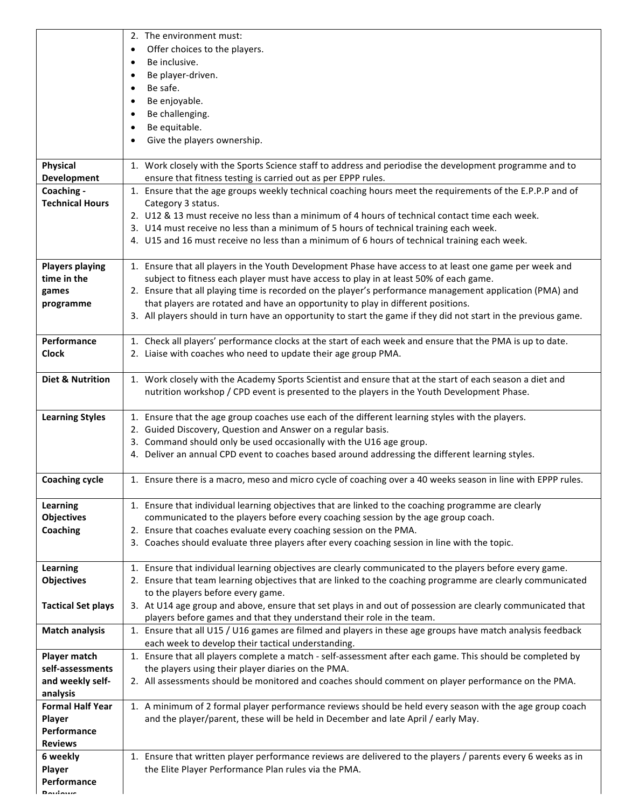|                                   | 2. The environment must:<br>Offer choices to the players.<br>$\bullet$<br>Be inclusive.<br>$\bullet$                                                                                                   |  |  |  |  |  |
|-----------------------------------|--------------------------------------------------------------------------------------------------------------------------------------------------------------------------------------------------------|--|--|--|--|--|
|                                   | Be player-driven.                                                                                                                                                                                      |  |  |  |  |  |
|                                   | Be safe.                                                                                                                                                                                               |  |  |  |  |  |
|                                   | Be enjoyable.                                                                                                                                                                                          |  |  |  |  |  |
|                                   | Be challenging.                                                                                                                                                                                        |  |  |  |  |  |
|                                   | Be equitable.                                                                                                                                                                                          |  |  |  |  |  |
|                                   | Give the players ownership.                                                                                                                                                                            |  |  |  |  |  |
| Physical                          | 1. Work closely with the Sports Science staff to address and periodise the development programme and to                                                                                                |  |  |  |  |  |
| <b>Development</b>                | ensure that fitness testing is carried out as per EPPP rules.                                                                                                                                          |  |  |  |  |  |
| Coaching -                        | 1. Ensure that the age groups weekly technical coaching hours meet the requirements of the E.P.P.P and of                                                                                              |  |  |  |  |  |
| <b>Technical Hours</b>            | Category 3 status.<br>2. U12 & 13 must receive no less than a minimum of 4 hours of technical contact time each week.                                                                                  |  |  |  |  |  |
|                                   | 3. U14 must receive no less than a minimum of 5 hours of technical training each week.                                                                                                                 |  |  |  |  |  |
|                                   | 4. U15 and 16 must receive no less than a minimum of 6 hours of technical training each week.                                                                                                          |  |  |  |  |  |
|                                   |                                                                                                                                                                                                        |  |  |  |  |  |
| <b>Players playing</b>            | 1. Ensure that all players in the Youth Development Phase have access to at least one game per week and                                                                                                |  |  |  |  |  |
| time in the                       | subject to fitness each player must have access to play in at least 50% of each game.                                                                                                                  |  |  |  |  |  |
| games                             | 2. Ensure that all playing time is recorded on the player's performance management application (PMA) and                                                                                               |  |  |  |  |  |
| programme                         | that players are rotated and have an opportunity to play in different positions.<br>3. All players should in turn have an opportunity to start the game if they did not start in the previous game.    |  |  |  |  |  |
|                                   |                                                                                                                                                                                                        |  |  |  |  |  |
| Performance                       | 1. Check all players' performance clocks at the start of each week and ensure that the PMA is up to date.                                                                                              |  |  |  |  |  |
| <b>Clock</b>                      | 2. Liaise with coaches who need to update their age group PMA.                                                                                                                                         |  |  |  |  |  |
|                                   |                                                                                                                                                                                                        |  |  |  |  |  |
| <b>Diet &amp; Nutrition</b>       | 1. Work closely with the Academy Sports Scientist and ensure that at the start of each season a diet and<br>nutrition workshop / CPD event is presented to the players in the Youth Development Phase. |  |  |  |  |  |
|                                   |                                                                                                                                                                                                        |  |  |  |  |  |
| <b>Learning Styles</b>            | 1. Ensure that the age group coaches use each of the different learning styles with the players.                                                                                                       |  |  |  |  |  |
|                                   | 2. Guided Discovery, Question and Answer on a regular basis.                                                                                                                                           |  |  |  |  |  |
|                                   | 3. Command should only be used occasionally with the U16 age group.                                                                                                                                    |  |  |  |  |  |
|                                   | 4. Deliver an annual CPD event to coaches based around addressing the different learning styles.                                                                                                       |  |  |  |  |  |
| <b>Coaching cycle</b>             | 1. Ensure there is a macro, meso and micro cycle of coaching over a 40 weeks season in line with EPPP rules.                                                                                           |  |  |  |  |  |
| Learning                          | 1. Ensure that individual learning objectives that are linked to the coaching programme are clearly                                                                                                    |  |  |  |  |  |
| <b>Objectives</b>                 | communicated to the players before every coaching session by the age group coach.                                                                                                                      |  |  |  |  |  |
| Coaching                          | 2. Ensure that coaches evaluate every coaching session on the PMA.                                                                                                                                     |  |  |  |  |  |
|                                   | 3. Coaches should evaluate three players after every coaching session in line with the topic.                                                                                                          |  |  |  |  |  |
| Learning                          | 1. Ensure that individual learning objectives are clearly communicated to the players before every game.                                                                                               |  |  |  |  |  |
| <b>Objectives</b>                 | 2. Ensure that team learning objectives that are linked to the coaching programme are clearly communicated                                                                                             |  |  |  |  |  |
|                                   | to the players before every game.                                                                                                                                                                      |  |  |  |  |  |
| <b>Tactical Set plays</b>         | 3. At U14 age group and above, ensure that set plays in and out of possession are clearly communicated that                                                                                            |  |  |  |  |  |
|                                   | players before games and that they understand their role in the team.                                                                                                                                  |  |  |  |  |  |
| <b>Match analysis</b>             | 1. Ensure that all U15 / U16 games are filmed and players in these age groups have match analysis feedback<br>each week to develop their tactical understanding.                                       |  |  |  |  |  |
| <b>Player match</b>               | 1. Ensure that all players complete a match - self-assessment after each game. This should be completed by                                                                                             |  |  |  |  |  |
| self-assessments                  | the players using their player diaries on the PMA.                                                                                                                                                     |  |  |  |  |  |
| and weekly self-                  | 2. All assessments should be monitored and coaches should comment on player performance on the PMA.                                                                                                    |  |  |  |  |  |
| analysis                          |                                                                                                                                                                                                        |  |  |  |  |  |
| <b>Formal Half Year</b><br>Player | 1. A minimum of 2 formal player performance reviews should be held every season with the age group coach<br>and the player/parent, these will be held in December and late April / early May.          |  |  |  |  |  |
| Performance                       |                                                                                                                                                                                                        |  |  |  |  |  |
| <b>Reviews</b>                    |                                                                                                                                                                                                        |  |  |  |  |  |
| 6 weekly                          | 1. Ensure that written player performance reviews are delivered to the players / parents every 6 weeks as in                                                                                           |  |  |  |  |  |
| Player                            | the Elite Player Performance Plan rules via the PMA.                                                                                                                                                   |  |  |  |  |  |
| Performance                       |                                                                                                                                                                                                        |  |  |  |  |  |
| $D$ asiania                       |                                                                                                                                                                                                        |  |  |  |  |  |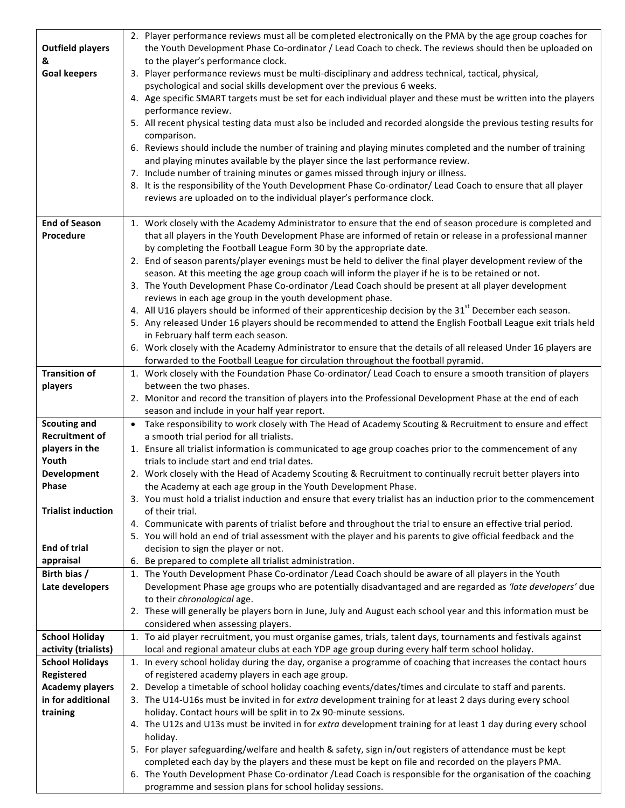|                             | 2. Player performance reviews must all be completed electronically on the PMA by the age group coaches for                         |  |  |  |  |  |
|-----------------------------|------------------------------------------------------------------------------------------------------------------------------------|--|--|--|--|--|
| <b>Outfield players</b>     | the Youth Development Phase Co-ordinator / Lead Coach to check. The reviews should then be uploaded on                             |  |  |  |  |  |
| &                           | to the player's performance clock.                                                                                                 |  |  |  |  |  |
| <b>Goal keepers</b>         | 3. Player performance reviews must be multi-disciplinary and address technical, tactical, physical,                                |  |  |  |  |  |
|                             | psychological and social skills development over the previous 6 weeks.                                                             |  |  |  |  |  |
|                             | 4. Age specific SMART targets must be set for each individual player and these must be written into the players                    |  |  |  |  |  |
|                             | performance review.                                                                                                                |  |  |  |  |  |
|                             | 5. All recent physical testing data must also be included and recorded alongside the previous testing results for                  |  |  |  |  |  |
|                             | comparison.                                                                                                                        |  |  |  |  |  |
|                             | 6. Reviews should include the number of training and playing minutes completed and the number of training                          |  |  |  |  |  |
|                             | and playing minutes available by the player since the last performance review.                                                     |  |  |  |  |  |
|                             | 7. Include number of training minutes or games missed through injury or illness.                                                   |  |  |  |  |  |
|                             | 8. It is the responsibility of the Youth Development Phase Co-ordinator/ Lead Coach to ensure that all player                      |  |  |  |  |  |
|                             | reviews are uploaded on to the individual player's performance clock.                                                              |  |  |  |  |  |
|                             |                                                                                                                                    |  |  |  |  |  |
| <b>End of Season</b>        | 1. Work closely with the Academy Administrator to ensure that the end of season procedure is completed and                         |  |  |  |  |  |
| <b>Procedure</b>            | that all players in the Youth Development Phase are informed of retain or release in a professional manner                         |  |  |  |  |  |
|                             | by completing the Football League Form 30 by the appropriate date.                                                                 |  |  |  |  |  |
|                             | 2. End of season parents/player evenings must be held to deliver the final player development review of the                        |  |  |  |  |  |
|                             | season. At this meeting the age group coach will inform the player if he is to be retained or not.                                 |  |  |  |  |  |
|                             | 3. The Youth Development Phase Co-ordinator /Lead Coach should be present at all player development                                |  |  |  |  |  |
|                             | reviews in each age group in the youth development phase.                                                                          |  |  |  |  |  |
|                             | 4. All U16 players should be informed of their apprenticeship decision by the 31 <sup>st</sup> December each season.               |  |  |  |  |  |
|                             | 5. Any released Under 16 players should be recommended to attend the English Football League exit trials held                      |  |  |  |  |  |
|                             | in February half term each season.                                                                                                 |  |  |  |  |  |
|                             | 6. Work closely with the Academy Administrator to ensure that the details of all released Under 16 players are                     |  |  |  |  |  |
|                             | forwarded to the Football League for circulation throughout the football pyramid.                                                  |  |  |  |  |  |
| <b>Transition of</b>        | 1. Work closely with the Foundation Phase Co-ordinator/ Lead Coach to ensure a smooth transition of players                        |  |  |  |  |  |
| players                     | between the two phases.                                                                                                            |  |  |  |  |  |
|                             | 2. Monitor and record the transition of players into the Professional Development Phase at the end of each                         |  |  |  |  |  |
|                             | season and include in your half year report.                                                                                       |  |  |  |  |  |
| <b>Scouting and</b>         | • Take responsibility to work closely with The Head of Academy Scouting & Recruitment to ensure and effect                         |  |  |  |  |  |
| <b>Recruitment of</b>       | a smooth trial period for all trialists.                                                                                           |  |  |  |  |  |
| players in the              | 1. Ensure all trialist information is communicated to age group coaches prior to the commencement of any                           |  |  |  |  |  |
| Youth                       | trials to include start and end trial dates.                                                                                       |  |  |  |  |  |
| <b>Development</b><br>Phase | 2. Work closely with the Head of Academy Scouting & Recruitment to continually recruit better players into                         |  |  |  |  |  |
|                             | the Academy at each age group in the Youth Development Phase.                                                                      |  |  |  |  |  |
| <b>Trialist induction</b>   | 3. You must hold a trialist induction and ensure that every trialist has an induction prior to the commencement<br>of their trial. |  |  |  |  |  |
|                             | 4. Communicate with parents of trialist before and throughout the trial to ensure an effective trial period.                       |  |  |  |  |  |
|                             | 5. You will hold an end of trial assessment with the player and his parents to give official feedback and the                      |  |  |  |  |  |
| <b>End of trial</b>         | decision to sign the player or not.                                                                                                |  |  |  |  |  |
| appraisal                   | 6. Be prepared to complete all trialist administration.                                                                            |  |  |  |  |  |
| Birth bias /                | 1. The Youth Development Phase Co-ordinator / Lead Coach should be aware of all players in the Youth                               |  |  |  |  |  |
| Late developers             | Development Phase age groups who are potentially disadvantaged and are regarded as 'late developers' due                           |  |  |  |  |  |
|                             | to their chronological age.                                                                                                        |  |  |  |  |  |
|                             | 2. These will generally be players born in June, July and August each school year and this information must be                     |  |  |  |  |  |
|                             | considered when assessing players.                                                                                                 |  |  |  |  |  |
| <b>School Holiday</b>       | 1. To aid player recruitment, you must organise games, trials, talent days, tournaments and festivals against                      |  |  |  |  |  |
| activity (trialists)        | local and regional amateur clubs at each YDP age group during every half term school holiday.                                      |  |  |  |  |  |
| <b>School Holidays</b>      | 1. In every school holiday during the day, organise a programme of coaching that increases the contact hours                       |  |  |  |  |  |
| Registered                  | of registered academy players in each age group.                                                                                   |  |  |  |  |  |
| <b>Academy players</b>      | 2. Develop a timetable of school holiday coaching events/dates/times and circulate to staff and parents.                           |  |  |  |  |  |
| in for additional           | 3. The U14-U16s must be invited in for extra development training for at least 2 days during every school                          |  |  |  |  |  |
| training                    | holiday. Contact hours will be split in to 2x 90-minute sessions.                                                                  |  |  |  |  |  |
|                             | 4. The U12s and U13s must be invited in for extra development training for at least 1 day during every school                      |  |  |  |  |  |
|                             |                                                                                                                                    |  |  |  |  |  |
|                             | holiday.                                                                                                                           |  |  |  |  |  |
|                             | 5. For player safeguarding/welfare and health & safety, sign in/out registers of attendance must be kept                           |  |  |  |  |  |
|                             | completed each day by the players and these must be kept on file and recorded on the players PMA.                                  |  |  |  |  |  |
|                             | 6. The Youth Development Phase Co-ordinator /Lead Coach is responsible for the organisation of the coaching                        |  |  |  |  |  |